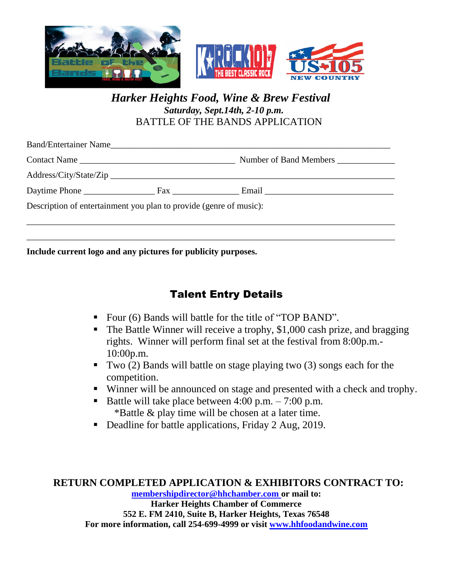

## *Harker Heights Food, Wine & Brew Festival Saturday, Sept.14th, 2-10 p.m.* BATTLE OF THE BANDS APPLICATION

| Contact Name                                                       |  |
|--------------------------------------------------------------------|--|
|                                                                    |  |
|                                                                    |  |
| Description of entertainment you plan to provide (genre of music): |  |
|                                                                    |  |
|                                                                    |  |

**Include current logo and any pictures for publicity purposes.**

## Talent Entry Details

- Four (6) Bands will battle for the title of "TOP BAND".
- The Battle Winner will receive a trophy, \$1,000 cash prize, and bragging rights. Winner will perform final set at the festival from 8:00p.m.- 10:00p.m.
- Two (2) Bands will battle on stage playing two (3) songs each for the competition.
- Winner will be announced on stage and presented with a check and trophy.
- Battle will take place between  $4:00$  p.m.  $-7:00$  p.m. \*Battle & play time will be chosen at a later time.
- Deadline for battle applications, Friday 2 Aug, 2019.

## **RETURN COMPLETED APPLICATION & EXHIBITORS CONTRACT TO:**

**[membershipdirector@hhchamber.com](mailto:membershipdirector@hhchamber.com) or mail to: Harker Heights Chamber of Commerce 552 E. FM 2410, Suite B, Harker Heights, Texas 76548 For more information, call 254-699-4999 or visit [www.hhfoodandwine.com](http://www.hhfoodandwine.com/)**